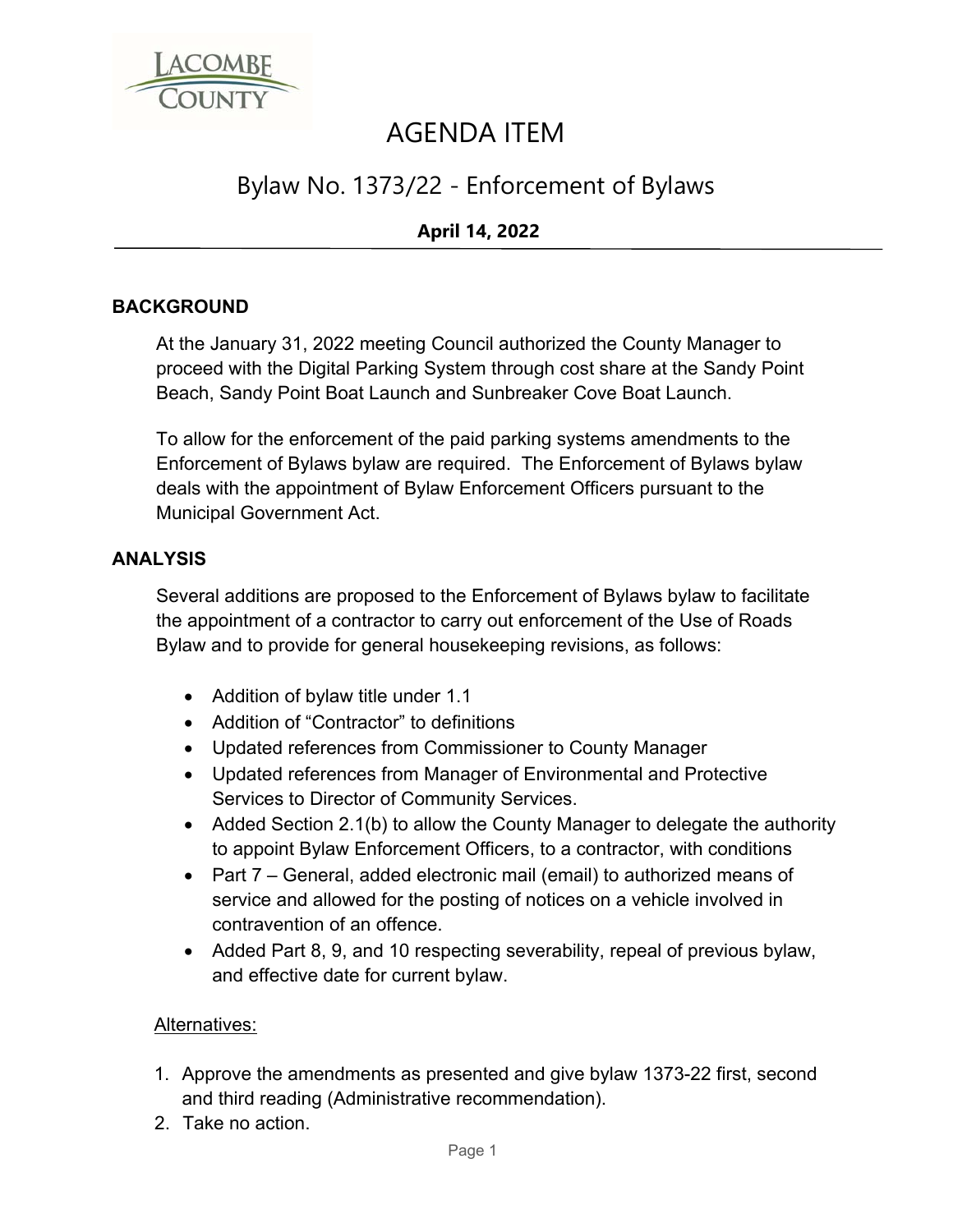

# AGENDA ITEM

## Bylaw No. 1373/22 - Enforcement of Bylaws

### **April 14, 2022**

#### **BACKGROUND**

At the January 31, 2022 meeting Council authorized the County Manager to proceed with the Digital Parking System through cost share at the Sandy Point Beach, Sandy Point Boat Launch and Sunbreaker Cove Boat Launch.

To allow for the enforcement of the paid parking systems amendments to the Enforcement of Bylaws bylaw are required. The Enforcement of Bylaws bylaw deals with the appointment of Bylaw Enforcement Officers pursuant to the Municipal Government Act.

#### **ANALYSIS**

Several additions are proposed to the Enforcement of Bylaws bylaw to facilitate the appointment of a contractor to carry out enforcement of the Use of Roads Bylaw and to provide for general housekeeping revisions, as follows:

- Addition of bylaw title under 1.1
- Addition of "Contractor" to definitions
- Updated references from Commissioner to County Manager
- Updated references from Manager of Environmental and Protective Services to Director of Community Services.
- Added Section 2.1(b) to allow the County Manager to delegate the authority to appoint Bylaw Enforcement Officers, to a contractor, with conditions
- Part 7 General, added electronic mail (email) to authorized means of service and allowed for the posting of notices on a vehicle involved in contravention of an offence.
- Added Part 8, 9, and 10 respecting severability, repeal of previous bylaw, and effective date for current bylaw.

#### Alternatives:

- 1. Approve the amendments as presented and give bylaw 1373-22 first, second and third reading (Administrative recommendation).
- 2. Take no action.